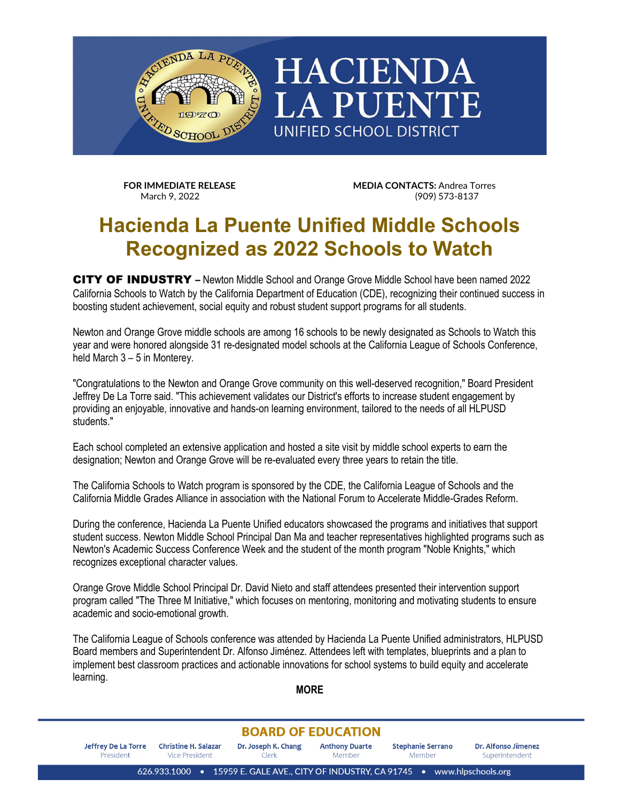

**FOR IMMEDIATE RELEASE MEDIA CONTACTS:** Andrea Torres<br>March 9, 2022 (909) 573-8137

## **Hacienda La Puente Unified Middle Schools Recognized as 2022 Schools to Watch**

CITY OF INDUSTRY **–** Newton Middle School and Orange Grove Middle School have been named 2022 California Schools to Watch by the California Department of Education (CDE), recognizing their continued success in boosting student achievement, social equity and robust student support programs for all students.

Newton and Orange Grove middle schools are among 16 schools to be newly designated as Schools to Watch this year and were honored alongside 31 re-designated model schools at the California League of Schools Conference, held March 3 – 5 in Monterey.

"Congratulations to the Newton and Orange Grove community on this well-deserved recognition," Board President Jeffrey De La Torre said. "This achievement validates our District's efforts to increase student engagement by providing an enjoyable, innovative and hands-on learning environment, tailored to the needs of all HLPUSD students."

Each school completed an extensive application and hosted a site visit by middle school experts to earn the designation; Newton and Orange Grove will be re-evaluated every three years to retain the title.

The California Schools to Watch program is sponsored by the CDE, the California League of Schools and the California Middle Grades Alliance in association with the National Forum to Accelerate Middle-Grades Reform.

During the conference, Hacienda La Puente Unified educators showcased the programs and initiatives that support student success. Newton Middle School Principal Dan Ma and teacher representatives highlighted programs such as Newton's Academic Success Conference Week and the student of the month program "Noble Knights," which recognizes exceptional character values.

Orange Grove Middle School Principal Dr. David Nieto and staff attendees presented their intervention support program called "The Three M Initiative," which focuses on mentoring, monitoring and motivating students to ensure academic and socio-emotional growth.

The California League of Schools conference was attended by Hacienda La Puente Unified administrators, HLPUSD Board members and Superintendent Dr. Alfonso Jiménez. Attendees left with templates, blueprints and a plan to implement best classroom practices and actionable innovations for school systems to build equity and accelerate learning.

**MORE**

## **BOARD OF EDUCATION**